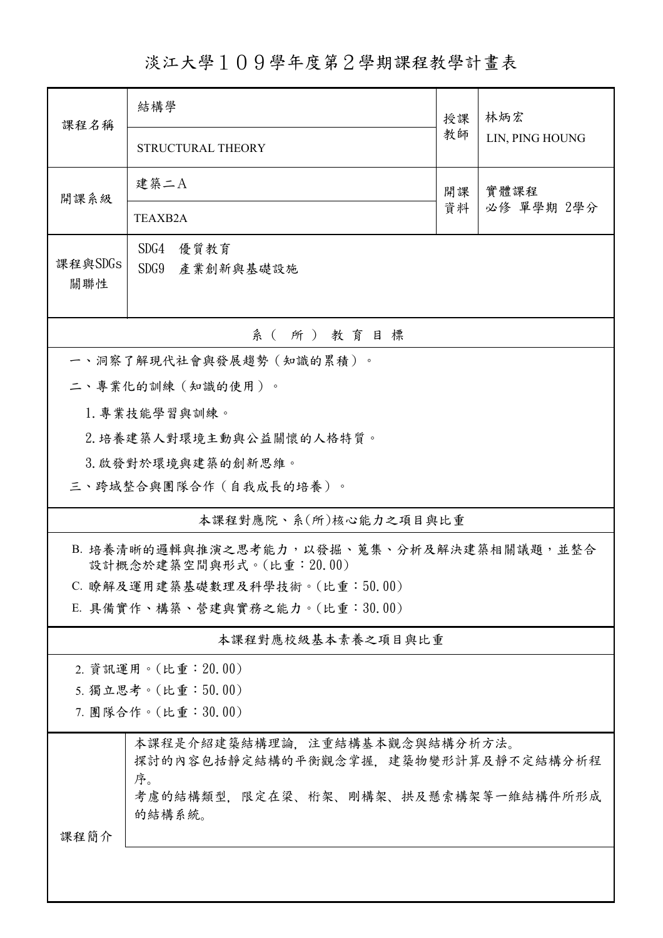淡江大學109學年度第2學期課程教學計畫表

| 課程名稱                                                                                                                        | 結構學                                                                  | 授課       | 林炳宏<br>LIN, PING HOUNG |  |  |  |  |
|-----------------------------------------------------------------------------------------------------------------------------|----------------------------------------------------------------------|----------|------------------------|--|--|--|--|
|                                                                                                                             | STRUCTURAL THEORY                                                    | 教師       |                        |  |  |  |  |
| 開課系級                                                                                                                        | 建築二A                                                                 | 開課<br>資料 | 實體課程<br>必修 單學期 2學分     |  |  |  |  |
|                                                                                                                             | <b>TEAXB2A</b>                                                       |          |                        |  |  |  |  |
| SDG4<br>優質教育<br>課程與SDGs<br>SDG9 產業創新與基礎設施<br>關聯性                                                                            |                                                                      |          |                        |  |  |  |  |
|                                                                                                                             | 系 (所) 教育目標                                                           |          |                        |  |  |  |  |
|                                                                                                                             | 一、洞察了解現代社會與發展趨勢(知識的累積)。                                              |          |                        |  |  |  |  |
|                                                                                                                             | 二、專業化的訓練(知識的使用)。                                                     |          |                        |  |  |  |  |
|                                                                                                                             | 1. 專業技能學習與訓練。                                                        |          |                        |  |  |  |  |
|                                                                                                                             | 2. 培養建築人對環境主動與公益關懷的人格特質。                                             |          |                        |  |  |  |  |
|                                                                                                                             | 3. 啟發對於環境與建築的創新思維。                                                   |          |                        |  |  |  |  |
|                                                                                                                             | 三、跨域整合與團隊合作(自我成長的培養)。                                                |          |                        |  |  |  |  |
|                                                                                                                             | 本課程對應院、系(所)核心能力之項目與比重                                                |          |                        |  |  |  |  |
|                                                                                                                             | B. 培養清晰的邏輯與推演之思考能力,以發掘、蒐集、分析及解決建築相關議題,並整合<br>設計概念於建築空間與形式。(比重:20.00) |          |                        |  |  |  |  |
|                                                                                                                             | C. 瞭解及運用建築基礎數理及科學技術。(比重:50.00)                                       |          |                        |  |  |  |  |
|                                                                                                                             | E. 具備實作、構築、營建與實務之能力。(比重:30.00)                                       |          |                        |  |  |  |  |
| 本課程對應校級基本素養之項目與比重                                                                                                           |                                                                      |          |                        |  |  |  |  |
| 2. 資訊運用。(比重: 20.00)                                                                                                         |                                                                      |          |                        |  |  |  |  |
| 5. 獨立思考。(比重:50.00)                                                                                                          |                                                                      |          |                        |  |  |  |  |
| 7. 團隊合作。(比重:30.00)                                                                                                          |                                                                      |          |                        |  |  |  |  |
| 本課程是介紹建築結構理論,注重結構基本觀念與結構分析方法。<br>探討的內容包括靜定結構的平衡觀念掌握,建築物變形計算及靜不定結構分析程<br>序。<br>考慮的結構類型,限定在梁、桁架、剛構架、拱及懸索構架等一維結構件所形成<br>的結構系統。 |                                                                      |          |                        |  |  |  |  |
| 课程简介                                                                                                                        |                                                                      |          |                        |  |  |  |  |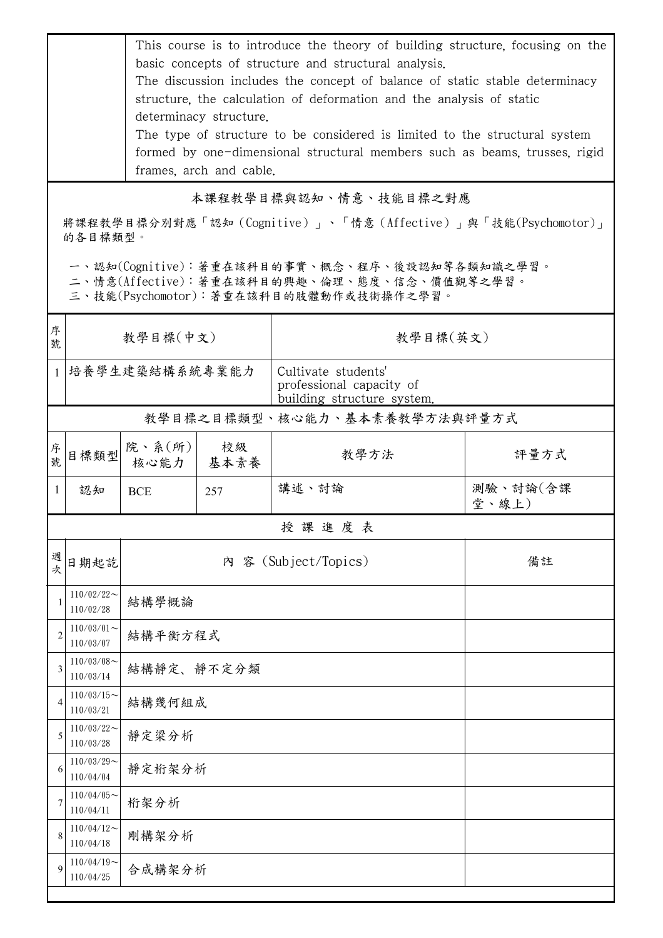| This course is to introduce the theory of building structure, focusing on the |
|-------------------------------------------------------------------------------|
| basic concepts of structure and structural analysis.                          |
| The discussion includes the concept of balance of static stable determinacy   |
| structure, the calculation of deformation and the analysis of static          |
| determinacy structure.                                                        |
| The type of structure to be considered is limited to the structural system    |
| formed by one-dimensional structural members such as beams, trusses, rigid    |
| frames, arch and cable.                                                       |
|                                                                               |

本課程教學目標與認知、情意、技能目標之對應

將課程教學目標分別對應「認知(Cognitive)」、「情意(Affective)」與「技能(Psychomotor)」 的各目標類型。

一、認知(Cognitive):著重在該科目的事實、概念、程序、後設認知等各類知識之學習。

二、情意(Affective):著重在該科目的興趣、倫理、態度、信念、價值觀等之學習。

三、技能(Psychomotor):著重在該科目的肢體動作或技術操作之學習。

| 序號           | 教學目標(中文)                     |                                 |            | 教學目標(英文)                                                                      |                   |  |  |  |
|--------------|------------------------------|---------------------------------|------------|-------------------------------------------------------------------------------|-------------------|--|--|--|
| $\mathbf{1}$ | 培養學生建築結構系統專業能力               |                                 |            | Cultivate students'<br>professional capacity of<br>building structure system. |                   |  |  |  |
|              | 教學目標之目標類型、核心能力、基本素養教學方法與評量方式 |                                 |            |                                                                               |                   |  |  |  |
| 序號           | 目標類型                         | 院、系 $(\hbox{\tt \ffm})$<br>核心能力 | 校級<br>基本素養 | 教學方法                                                                          | 評量方式              |  |  |  |
| $\mathbf{1}$ | 認知                           | <b>BCE</b>                      | 257        | 講述、討論                                                                         | 測驗、討論(含課<br>堂、線上) |  |  |  |
|              | 授課進度表                        |                                 |            |                                                                               |                   |  |  |  |
| 週<br>欤       | 日期起訖                         | 內 容 (Subject/Topics)            |            |                                                                               | 備註                |  |  |  |
| $\mathbf{1}$ | $110/02/22$ ~<br>110/02/28   | 結構學概論                           |            |                                                                               |                   |  |  |  |
| 2            | $110/03/01$ ~<br>110/03/07   | 結構平衡方程式                         |            |                                                                               |                   |  |  |  |
| 3            | $110/03/08$ ~<br>110/03/14   | 結構靜定、靜不定分類                      |            |                                                                               |                   |  |  |  |
| 4            | $110/03/15$ ~<br>110/03/21   | 結構幾何組成                          |            |                                                                               |                   |  |  |  |
| 5            | $110/03/22$ ~<br>110/03/28   | 靜定梁分析                           |            |                                                                               |                   |  |  |  |
| 6            | $110/03/29$ ~<br>110/04/04   | 靜定桁架分析                          |            |                                                                               |                   |  |  |  |
| 7            | $110/04/05$ ~<br>110/04/11   | 桁架分析                            |            |                                                                               |                   |  |  |  |
| 8            | $110/04/12$ ~<br>110/04/18   | 剛構架分析                           |            |                                                                               |                   |  |  |  |
| 9            | $110/04/19$ ~<br>110/04/25   | 合成構架分析                          |            |                                                                               |                   |  |  |  |
|              |                              |                                 |            |                                                                               |                   |  |  |  |